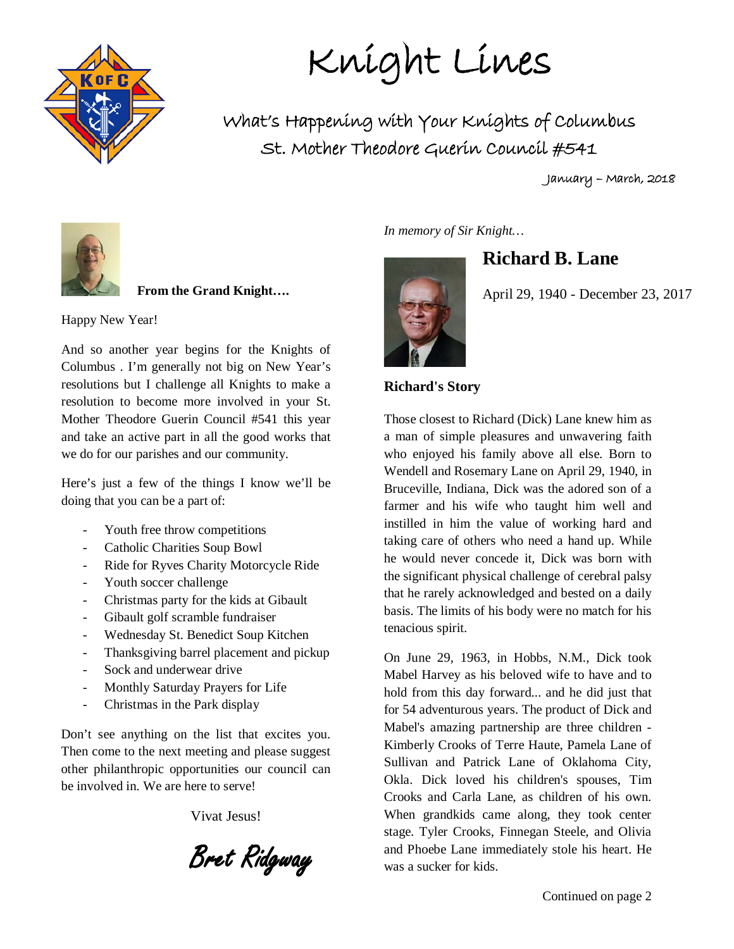

Knight Lines

What's Happening with Your Knights of Columbus St. Mother Theodore Guerin Council #541

January – March, 2018



 **From the Grand Knight….**

Happy New Year!

And so another year begins for the Knights of Columbus . I'm generally not big on New Year's resolutions but I challenge all Knights to make a resolution to become more involved in your St. Mother Theodore Guerin Council #541 this year and take an active part in all the good works that we do for our parishes and our community.

Here's just a few of the things I know we'll be doing that you can be a part of:

- Youth free throw competitions
- Catholic Charities Soup Bowl
- Ride for Ryves Charity Motorcycle Ride
- Youth soccer challenge
- Christmas party for the kids at Gibault
- Gibault golf scramble fundraiser
- Wednesday St. Benedict Soup Kitchen
- Thanksgiving barrel placement and pickup
- Sock and underwear drive
- Monthly Saturday Prayers for Life
- Christmas in the Park display

Don't see anything on the list that excites you. Then come to the next meeting and please suggest other philanthropic opportunities our council can be involved in. We are here to serve!

Vivat Jesus!

Bret Ridgway

*In memory of Sir Knight…*

**Richard B. Lane**

April 29, 1940 - December 23, 2017

#### **Richard's Story**

Those closest to Richard (Dick) Lane knew him as a man of simple pleasures and unwavering faith who enjoyed his family above all else. Born to Wendell and Rosemary Lane on April 29, 1940, in Bruceville, Indiana, Dick was the adored son of a farmer and his wife who taught him well and instilled in him the value of working hard and taking care of others who need a hand up. While he would never concede it, Dick was born with the significant physical challenge of cerebral palsy that he rarely acknowledged and bested on a daily basis. The limits of his body were no match for his tenacious spirit.

On June 29, 1963, in Hobbs, N.M., Dick took Mabel Harvey as his beloved wife to have and to hold from this day forward... and he did just that for 54 adventurous years. The product of Dick and Mabel's amazing partnership are three children - Kimberly Crooks of Terre Haute, Pamela Lane of Sullivan and Patrick Lane of Oklahoma City, Okla. Dick loved his children's spouses, Tim Crooks and Carla Lane, as children of his own. When grandkids came along, they took center stage. Tyler Crooks, Finnegan Steele, and Olivia and Phoebe Lane immediately stole his heart. He was a sucker for kids.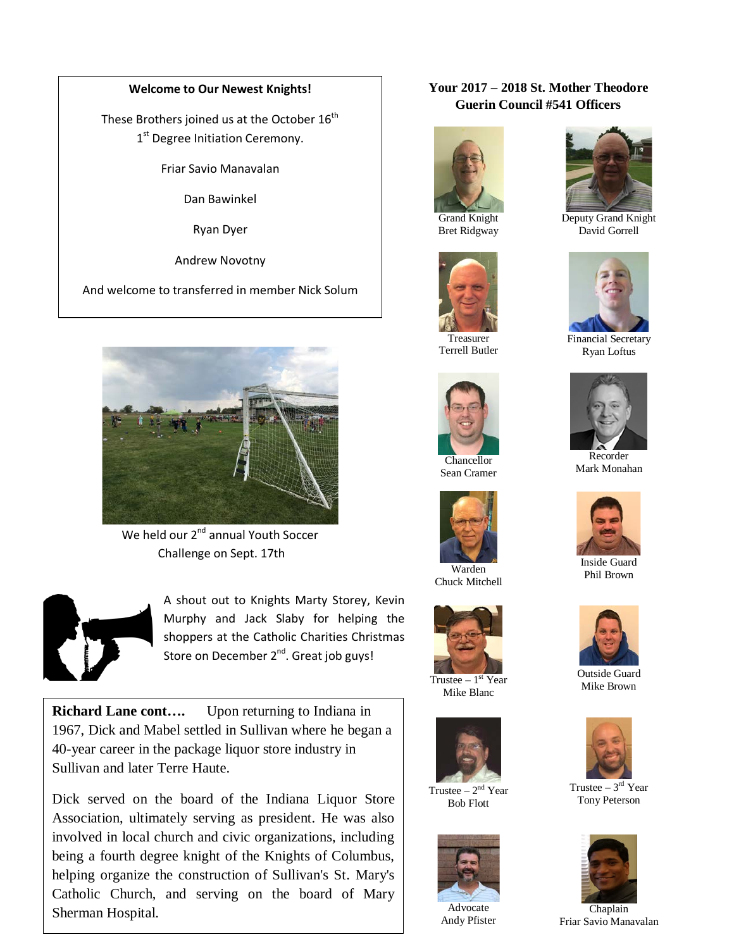#### **Welcome to Our Newest Knights!**

These Brothers joined us at the October  $16<sup>th</sup>$ 1<sup>st</sup> Degree Initiation Ceremony.

Friar Savio Manavalan

Dan Bawinkel

Ryan Dyer

Andrew Novotny

And welcome to transferred in member Nick Solum



We held our 2<sup>nd</sup> annual Youth Soccer Challenge on Sept. 17th



 $\overline{\phantom{a}}$ 

A shout out to Knights Marty Storey, Kevin Murphy and Jack Slaby for helping the shoppers at the Catholic Charities Christmas Store on December 2<sup>nd</sup>. Great job guys!

**Richard Lane cont....** Upon returning to Indiana in 1967, Dick and Mabel settled in Sullivan where he began a 40-year career in the package liquor store industry in Sullivan and later Terre Haute.

Dick served on the board of the Indiana Liquor Store Association, ultimately serving as president. He was also involved in local church and civic organizations, including being a fourth degree knight of the Knights of Columbus, helping organize the construction of Sullivan's St. Mary's Catholic Church, and serving on the board of Mary Sherman Hospital.

#### **Your 2017 – 2018 St. Mother Theodore Guerin Council #541 Officers**



Grand Knight Bret Ridgway



Treasurer Terrell Butler



Sean Cramer



Warden Chuck Mitchell



Trustee  $-1<sup>st</sup>$  Year Mike Blanc



Trustee  $-2<sup>nd</sup>$  Year Bob Flott



Advocate Andy Pfister



Deputy Grand Knight David Gorrell



Financial Secretary Ryan Loftus



Recorder Mark Monahan



Inside Guard Phil Brown



Outside Guard Mike Brown



Trustee –  $3<sup>rd</sup>$  Year Tony Peterson



Chaplain Friar Savio Manavalan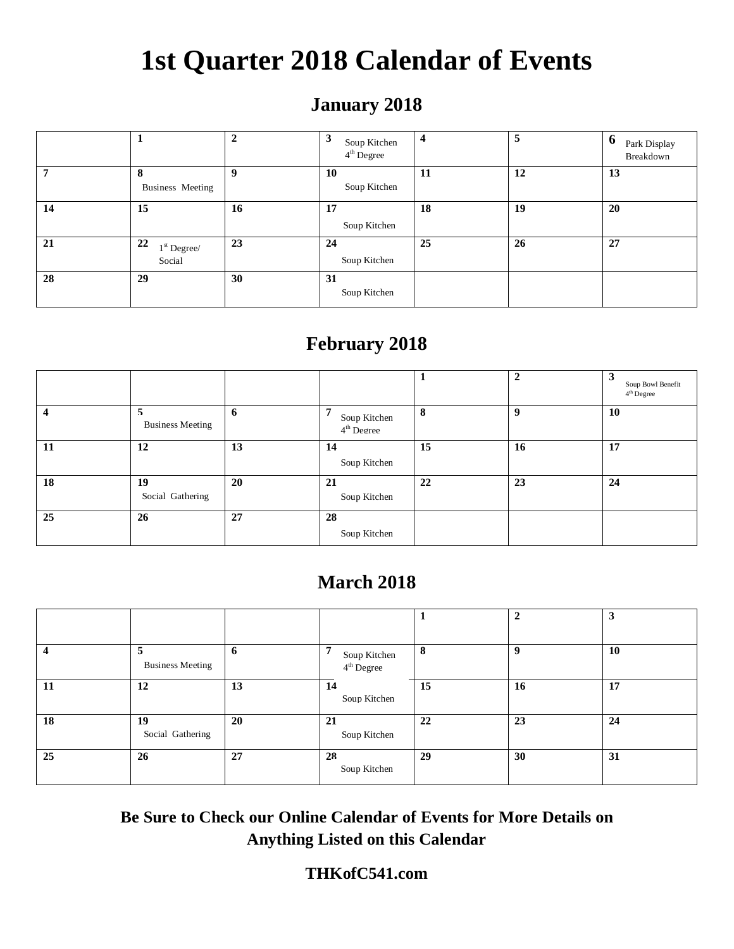# **1st Quarter 2018 Calendar of Events**

# **January 2018**

|    |                               | $\mathbf{2}$ | 3<br>Soup Kitchen<br>$4th$ Degree | $\overline{\mathbf{4}}$ | 5  | $\mathbf b$<br>Park Display<br>Breakdown |
|----|-------------------------------|--------------|-----------------------------------|-------------------------|----|------------------------------------------|
| 7  | 8<br>Business Meeting         | 9            | 10<br>Soup Kitchen                | 11                      | 12 | 13                                       |
| 14 | 15                            | 16           | 17<br>Soup Kitchen                | 18                      | 19 | 20                                       |
| 21 | 22<br>$1st$ Degree/<br>Social | 23           | 24<br>Soup Kitchen                | 25                      | 26 | 27                                       |
| 28 | 29                            | 30           | 31<br>Soup Kitchen                |                         |    |                                          |

# **February 2018**

|    |                              |    |                                             |    | $\overline{2}$ | 3<br>Soup Bowl Benefit<br>$4th$ Degree |
|----|------------------------------|----|---------------------------------------------|----|----------------|----------------------------------------|
|    | 5<br><b>Business Meeting</b> | 6  | 7<br>Soup Kitchen<br>4 <sup>th</sup> Degree | 8  | 9              | 10                                     |
| 11 | 12                           | 13 | 14<br>Soup Kitchen                          | 15 | 16             | 17                                     |
| 18 | 19<br>Social Gathering       | 20 | 21<br>Soup Kitchen                          | 22 | 23             | 24                                     |
| 25 | 26                           | 27 | 28<br>Soup Kitchen                          |    |                |                                        |

## **March 2018**

|    |                              |    |                                             |    | $\overline{2}$ | J  |
|----|------------------------------|----|---------------------------------------------|----|----------------|----|
| 4  | 5<br><b>Business Meeting</b> | 6  | 7<br>Soup Kitchen<br>4 <sup>th</sup> Degree | 8  | 9              | 10 |
| 11 | 12                           | 13 | 14<br>Soup Kitchen                          | 15 | 16             | 17 |
| 18 | 19<br>Social Gathering       | 20 | 21<br>Soup Kitchen                          | 22 | 23             | 24 |
| 25 | 26                           | 27 | 28<br>Soup Kitchen                          | 29 | 30             | 31 |

**Be Sure to Check our Online Calendar of Events for More Details on Anything Listed on this Calendar**

### **THKofC541.com**